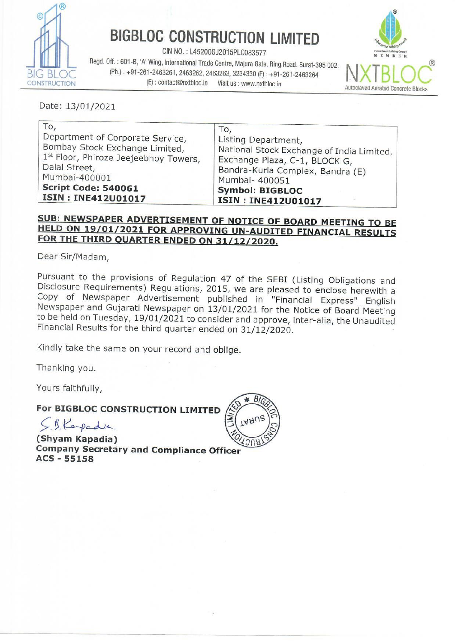

## BIGBLOC CONSTRUCTION LIMITED

CIN NO.: L45200GJ2015PLC083577

Regd. Off. : 601-B, 'A' Wing, International Trade Centre, Majura Gate, Ring Road, Surat-395 002.<br>BIG BLOC (Ph.) : +91-261-2463261, 2463262, 2463263, 3234330 (F) : +91-261-2463264 NXTBLOC<br>CONSTRUCTION (E) : contact@nxtbloc. (E): contact@nxtbloc.in Visit us : www.nxtbloc.in BIGBLOC CONSTR<br>
Regd. Off.: 601-B, 'A' Wing, International Trade Ce<br>
BLOC (Ph.): +91-261-2463261, 2463262, 2463;<br>
TRUCTION (E): contact@nxtbloc.in



Date: 13/01/2021

| To,                                   | To,                                       |
|---------------------------------------|-------------------------------------------|
| Department of Corporate Service,      | Listing Department,                       |
| Bombay Stock Exchange Limited,        | National Stock Exchange of India Limited, |
| 1st Floor, Phiroze Jeejeebhoy Towers, | Exchange Plaza, C-1, BLOCK G,             |
| Dalal Street,                         | Bandra-Kurla Complex, Bandra (E)          |
| Mumbai-400001                         | Mumbai- 400051                            |
| <b>Script Code: 540061</b>            | <b>Symbol: BIGBLOC</b>                    |
| <b>ISIN: INE412U01017</b>             | <b>ISIN: INE412U01017</b>                 |

# SUB: NEWSPAPER ADVERTISEMENT OF NOTICE OF BOARD MEETING TO BE HELD ON 19/01/2021 FOR APPROVING UN-AUDITED FINANCIAL RESULTS FOR THE THIRD QUARTER ENDED ON 31/12/2020.

Dear Sir/Madam,

Disclosure Requirements) Regulations, 20<br>Copy of Newspaper Advertisement pu<br>Newspaper and Gujarati Newspaper on 13<br>to be held on Tuesday, 19/01/2021 to cons<br>Financial Results for the third quarter ende<br>Kindly take the same Pursuant to the provisions of Regulation 47 of the SEBI (Listing Obligations and Disclosure Requirements) Regulations, 2015, we are pleased to enclose herewith a Copy of Newspaper Advertisement published in "Financial Expr

Kindly take the same on your record and oblige.

Thanking you.

Yours faithfully,

## For BIGBLOC CONSTRUCTION LIMITED

 $\subseteq$  & Keyedia.

(Shyam Kapadia)<br>Company Secretary and Compliance Officer<br>ACS - 55158

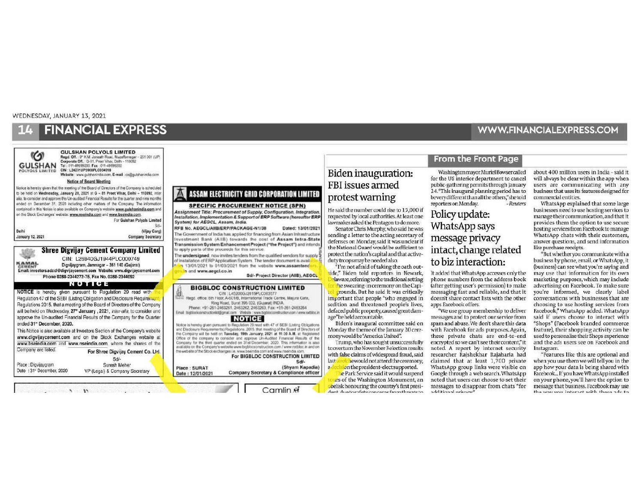#### WEDNESDAY, JANUARY 13, 2021

## **FINANCIAL EXPRESS**



### ASSAM ELECTRICITY GRID CORPORATION LIMITED

#### **SPECIFIC PROCUREMENT NOTICE (SPN)**

Assignment Title: Procurement of Supply, Configuration, Integration Installation, Implementation & Support of ERP Software (hereafter ERP System) for AEGCL, Assam, India Dated: 13/01/2021

The Government of India has applied for financing from Asian Infrastructure nvestment Bank (AIIB) towards the cost of Assam Intra-State Transmission System Enhancement Project ("the Project") and intends to apply parts of the proceeds for this service

The undersigned, now invites tenders from the qualified vendors for supply of installation of ERP Application System. The tender document is avail n 13/01/2021 to 01/03/2021 from the website www.assamtenc

Sd/- Project Director (AllB), AEGCL

#### **BIGBLOC CONSTRUCTION LIMITED** CIN: L45200GJ2015FLC083577

office: 6th Floor, A-6014B, International Trade Centre, Majura Gate Ring Road, Surat 395 002. (Guiarat) INDIA Phone: +91-261-2463261, 2463262, 2463263, Fax: +91-261-2463264 Email bigblockconstructionhogomail.com Website www.bigbloc from com / www.nattitor.

#### **NOTICE**

Notice is hereby given pursuant to Regulation 25 read with 47 of SEBI (Usting Obligations the Company will be held on Tuesday, 19th January, 2021 at 11:30 A.M. at Registered Office of the company to consider and approve Un-Audited Financial Results of the Company for the third quarter ended on 31st December, 2020. This information is also available on the Company's website www.bigblocconstruction.com / www.retbloc.in and or the website of the Stock exchanges i.e. www.bseindia.com and www.nseindia.com For BIGBLOC CONSTRUCTION LIMITED

#### $Sd$ (Shyam Kapadia)

Camlin  $\mathcal A$ 

## Biden inauguration: FBI issues armed protest warning

He said the number could rise to 15,000 if requested by local authorities. At least one lawmaker asked the Pentagon to do more.

Senator Chris Murphy, who said he was sending a letter to the acting secretary of defenses on Monday, said it was unclear if the National Guard would be sufficient to protect the nation's capital and that activeduty troops may be needed also.

"I'm not afraid of taking the oath outside," Biden told reporters in Newark, elaware, referring to the traditional setting the swearing-in ceremony on the Capigrounds. But he said it was critically important that people "who engaged in sedition and threatened people's lives, defaced public property, caused great damage"be held accountable.

Biden's inaugural committee said on Monday the theme of the January 20 ceremony would be "America United".

Trump, who has sought unsuccessfully to overturn the November 3 election results with false claims of widespread fraud, said rewould not attend the ceremony, last  $\overline{a}$ cision the president-elect supported.

he Park Service said it would suspend ars of the Washington Monument, an obelisk honouring the country's first presidant duatorafats sene fr  $t$ 

## **From the Front Page**

**WWW.FINANCIALEXPRESS.COM** 

Washington mayor Muriel Bowser called for the US interior department to cancel public-gathering permits through January 24. "This inaugural planning period has to be very different than all the others," she told reporters on Monday. - Reuters

## Policy update: WhatsApp says message privacy intact, change related to biz interaction:

It added that WhatsApp accesses only the phone numbers from the address book (after getting user's permission) to make messaging fast and reliable, and that it doesn't share contact lists with the other apps Facebook offers.

"We use group membership to deliver messages and to protect our service from spam and abuse. We don't share this data with Facebook for ads purposes. Again, these private chats are end-to-end encrypted so we can't see their content," it noted. A report by internet security researcher Rajshekhar Rajaharia had claimed that at least 1,700 private WhatsApp group links were visible on Google through a web search. WhatsApp noted that users can choose to set their messages to disappear from chats "for additional privac

about 400 million users in India - said it will always be clear within the app when users are communicating with any business that uses its features designed for commercial entities.

WhatsApp explained that some large businesses need to use hosting services to manage their communication, and that it provides them the option to use secure hosting services from Facebook to manage WhatsApp chats with their customers, answer questions, and send information like purchase receipts.

"But whether you communicate with a business by phone, email, or WhatsApp, it (business) can see what you're saying and may use that information for its own marketing purposes, which may include advertising on Facebook. To make sure you're informed, we clearly label conversations with businesses that are choosing to use hosting services from Facebook," WhatsApp added. WhatsApp said if users choose to interact with "Shops" (Facebook branded commerce feature), their shopping activity can be used to personalise their Shops experience and the ads users see on Facebook and Instagram.

"Features like this are optional and when you use them we will tell you in the app how your data is being shared with Facebook... If you have WhatsApp installed on your phone, you'll have the option to message that business. Facebook may use tha was was interset with these sets to